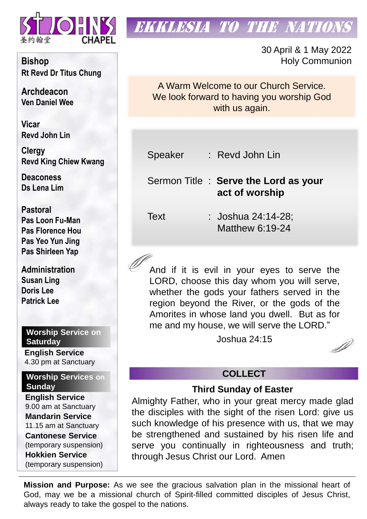

# **EKKLESIA TO THE NATION**

30 April & 1 May 2022 Holy Communion

A Warm Welcome to our Church Service. We look forward to having you worship God with us again.

Speaker : Revd John Lin

Sermon Title : **Serve the Lord as your act of worship** 

Text : Joshua 24:14-28; Matthew 6:19-24

And if it is evil in your eyes to serve the LORD, choose this day whom you will serve, whether the gods your fathers served in the region beyond the River, or the gods of the Amorites in whose land you dwell. But as for me and my house, we will serve the LORD."

Joshua 24:15



## **COLLECT**

## **Third Sunday of Easter**

Almighty Father, who in your great mercy made glad the disciples with the sight of the risen Lord: give us such knowledge of his presence with us, that we may be strengthened and sustained by his risen life and serve you continually in righteousness and truth; through Jesus Christ our Lord. Amen

**Mission and Purpose:** As we see the gracious salvation plan in the missional heart of God, may we be a missional church of Spirit-filled committed disciples of Jesus Christ, always ready to take the gospel to the nations.

**Bishop Rt Revd Dr Titus Chung**

**Archdeacon Ven Daniel Wee**

**Vicar Revd John Lin** 

**Clergy Revd King Chiew Kwang**

**Deaconess Ds Lena Lim**

**Pastoral Pas Loon Fu-Man Pas Florence Hou Pas Yeo Yun Jing Pas Shirleen Yap**

**Administration Susan Ling Doris Lee Patrick Lee**

## **Worship Service on Saturday**

**English Service**  4.30 pm at Sanctuary

**Worship Services on Sunday**

**English Service** 9.00 am at Sanctuary **Mandarin Service** 11.15 am at Sanctuary **Cantonese Service** (temporary suspension) **Hokkien Service** (temporary suspension)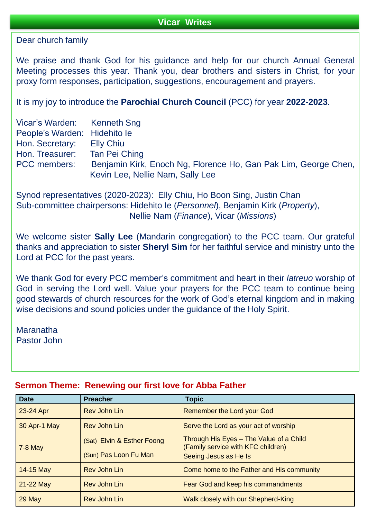Dear church family

We praise and thank God for his guidance and help for our church Annual General Meeting processes this year. Thank you, dear brothers and sisters in Christ, for your proxy form responses, participation, suggestions, encouragement and prayers.

It is my joy to introduce the **Parochial Church Council** (PCC) for year **2022-2023**.

| Vicar's Warden: Kenneth Sng  |                                                                                                     |
|------------------------------|-----------------------------------------------------------------------------------------------------|
| People's Warden: Hidehito le |                                                                                                     |
| Hon. Secretary: Elly Chiu    |                                                                                                     |
| Hon. Treasurer:              | Tan Pei Ching                                                                                       |
| <b>PCC</b> members:          | Benjamin Kirk, Enoch Ng, Florence Ho, Gan Pak Lim, George Chen,<br>Kevin Lee, Nellie Nam, Sally Lee |

Synod representatives (2020-2023): Elly Chiu, Ho Boon Sing, Justin Chan Sub-committee chairpersons: Hidehito Ie (*Personnel*), Benjamin Kirk (*Property*), Nellie Nam (*Finance*), Vicar (*Missions*)

We welcome sister **Sally Lee** (Mandarin congregation) to the PCC team. Our grateful thanks and appreciation to sister **Sheryl Sim** for her faithful service and ministry unto the Lord at PCC for the past years.

We thank God for every PCC member's commitment and heart in their *latreuo* worship of God in serving the Lord well. Value your prayers for the PCC team to continue being good stewards of church resources for the work of God's eternal kingdom and in making wise decisions and sound policies under the guidance of the Holy Spirit.

Maranatha Pastor John

| <b>Date</b>  | <b>Preacher</b>                                     | <b>Topic</b>                                                                                           |  |  |
|--------------|-----------------------------------------------------|--------------------------------------------------------------------------------------------------------|--|--|
| 23-24 Apr    | <b>Rev John Lin</b>                                 | Remember the Lord your God                                                                             |  |  |
| 30 Apr-1 May | <b>Rev John Lin</b>                                 | Serve the Lord as your act of worship                                                                  |  |  |
| $7-8$ May    | (Sat) Elvin & Esther Foong<br>(Sun) Pas Loon Fu Man | Through His Eyes - The Value of a Child<br>(Family service with KFC children)<br>Seeing Jesus as He Is |  |  |
| 14-15 May    | <b>Rev John Lin</b>                                 | Come home to the Father and His community                                                              |  |  |
| 21-22 May    | Rev John Lin                                        | Fear God and keep his commandments                                                                     |  |  |
| 29 May       | <b>Rev John Lin</b>                                 | Walk closely with our Shepherd-King                                                                    |  |  |

#### **Sermon Theme: Renewing our first love for Abba Father**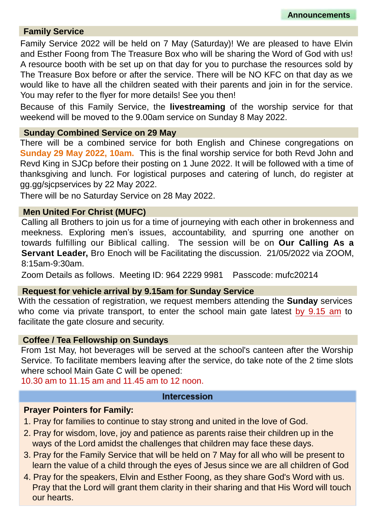#### **Family Service**

Family Service 2022 will be held on 7 May (Saturday)! We are pleased to have Elvin and Esther Foong from The Treasure Box who will be sharing the Word of God with us! A resource booth with be set up on that day for you to purchase the resources sold by The Treasure Box before or after the service. There will be NO KFC on that day as we would like to have all the children seated with their parents and join in for the service. You may refer to the flyer for more details! See you then!

Because of this Family Service, the **livestreaming** of the worship service for that weekend will be moved to the 9.00am service on Sunday 8 May 2022.

#### **Sunday Combined Service on 29 May**

There will be a combined service for both English and Chinese congregations on **Sunday 29 May 2022, 10am.** This is the final worship service for both Revd John and Revd King in SJCp before their posting on 1 June 2022. It will be followed with a time of thanksgiving and lunch. For logistical purposes and catering of lunch, do register at gg.gg/sjcpservices by 22 May 2022.

There will be no Saturday Service on 28 May 2022.

#### **Men United For Christ (MUFC)**

Calling all Brothers to join us for a time of journeying with each other in brokenness and meekness. Exploring men's issues, accountability, and spurring one another on towards fulfilling our Biblical calling. The session will be on **Our Calling As a Servant Leader,** Bro Enoch will be Facilitating the discussion. 21/05/2022 via ZOOM, 8:15am-9:30am.

Zoom Details as follows. Meeting ID: 964 2229 9981 Passcode: mufc20214

#### **Request for vehicle arrival by 9.15am for Sunday Service**

With the cessation of registration, we request members attending the **Sunday** services who come via private transport, to enter the school main gate latest by 9.15 am to facilitate the gate closure and security.

#### **Coffee / Tea Fellowship on Sundays**

From 1st May, hot beverages will be served at the school's canteen after the Worship Service. To facilitate members leaving after the service, do take note of the 2 time slots where school Main Gate C will be opened:

10.30 am to 11.15 am and 11.45 am to 12 noon.

#### **Intercession**

#### **Prayer Pointers for Family:**

- 1. Pray for families to continue to stay strong and united in the love of God.
- 2. Pray for wisdom, love, joy and patience as parents raise their children up in the ways of the Lord amidst the challenges that children may face these days.
- 3. Pray for the Family Service that will be held on 7 May for all who will be present to learn the value of a child through the eyes of Jesus since we are all children of God
- 4. Pray for the speakers, Elvin and Esther Foong, as they share God's Word with us. Pray that the Lord will grant them clarity in their sharing and that His Word will touch our hearts.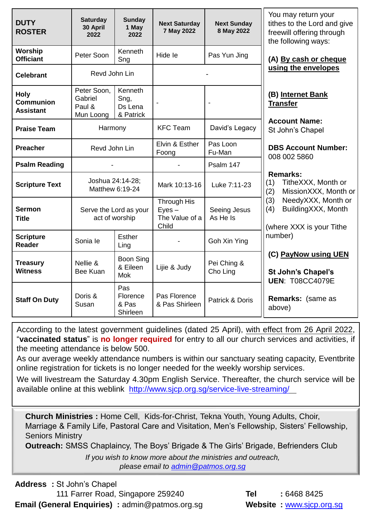| <b>DUTY</b><br><b>ROSTER</b>                        | <b>Saturday</b><br>30 April<br>2022           | <b>Sunday</b><br>1 May<br>2022             | <b>Next Saturday</b><br>7 May 2022                 | <b>Next Sunday</b><br>8 May 2022 | You may return your<br>tithes to the Lord and give<br>freewill offering through<br>the following ways: |
|-----------------------------------------------------|-----------------------------------------------|--------------------------------------------|----------------------------------------------------|----------------------------------|--------------------------------------------------------------------------------------------------------|
| Worship<br><b>Officiant</b>                         | Peter Soon                                    | Kenneth<br>Sng                             | Hide le                                            | Pas Yun Jing                     | (A) By cash or cheque                                                                                  |
| <b>Celebrant</b>                                    | Revd John Lin                                 |                                            |                                                    |                                  | using the envelopes                                                                                    |
| <b>Holy</b><br><b>Communion</b><br><b>Assistant</b> | Peter Soon,<br>Gabriel<br>Paul &<br>Mun Loong | Kenneth<br>Sng,<br>Ds Lena<br>& Patrick    |                                                    |                                  | (B) Internet Bank<br><b>Transfer</b>                                                                   |
| <b>Praise Team</b>                                  | Harmony                                       |                                            | <b>KFC Team</b>                                    | David's Legacy                   | <b>Account Name:</b><br>St John's Chapel                                                               |
| <b>Preacher</b>                                     | Revd John Lin                                 |                                            | Elvin & Esther<br>Foong                            | Pas Loon<br>Fu-Man               | <b>DBS Account Number:</b><br>008 002 5860                                                             |
| <b>Psalm Reading</b>                                |                                               |                                            |                                                    | Psalm 147                        |                                                                                                        |
| <b>Scripture Text</b>                               |                                               | Joshua 24:14-28;<br>Matthew 6:19-24        | Mark 10:13-16                                      | Luke 7:11-23                     | <b>Remarks:</b><br>TitheXXX, Month or<br>(1)<br>MissionXXX, Month or<br>(2)                            |
| <b>Sermon</b><br><b>Title</b>                       | Serve the Lord as your<br>act of worship      |                                            | Through His<br>$Eyes -$<br>The Value of a<br>Child | Seeing Jesus<br>As He Is         | (3)<br>NeedyXXX, Month or<br>BuildingXXX, Month<br>(4)<br>(where XXX is your Tithe                     |
| <b>Scripture</b><br><b>Reader</b>                   | Sonia le                                      | Esther<br>Ling                             |                                                    | Goh Xin Ying                     | number)                                                                                                |
| <b>Treasury</b><br><b>Witness</b>                   | Nellie &<br>Bee Kuan                          | <b>Boon Sing</b><br>& Eileen<br><b>Mok</b> | Lijie & Judy                                       | Pei Ching &<br>Cho Ling          | (C) PayNow using UEN<br>St John's Chapel's<br><b>UEN: T08CC4079E</b>                                   |
| <b>Staff On Duty</b>                                | Doris &<br>Susan                              | Pas<br>Florence<br>& Pas<br>Shirleen       | Pas Florence<br>& Pas Shirleen                     | Patrick & Doris                  | Remarks: (same as<br>above)                                                                            |

According to the latest government guidelines (dated 25 April), with effect from 26 April 2022, "**vaccinated status**" is **no longer required** for entry to all our church services and activities, if the meeting attendance is below 500.

As our average weekly attendance numbers is within our sanctuary seating capacity, Eventbrite online registration for tickets is no longer needed for the weekly worship services.

We will livestream the Saturday 4.30pm English Service. Thereafter, the church service will be available online at this weblink <http://www.sjcp.org.sg/service-live-streaming/>

**Church Ministries :** Home Cell, Kids-for-Christ, Tekna Youth, Young Adults, Choir, Marriage & Family Life, Pastoral Care and Visitation, Men's Fellowship, Sisters' Fellowship, Seniors Ministry

**Outreach:** SMSS Chaplaincy, The Boys' Brigade & The Girls' Brigade, Befrienders Club

*If you wish to know more about the ministries and outreach, please email to [admin@patmos.org.sg](mailto:admin@patmos.org.sg)*

**Address :** St John's Chapel 111 Farrer Road, Singapore 259240 **Tel :** 6468 8425 **Email (General Enquiries)** :  $\text{admin@patmos.org.sg}$  **Website :** [www.sjcp.org.sg](http://www.sjcp.org.sg/)